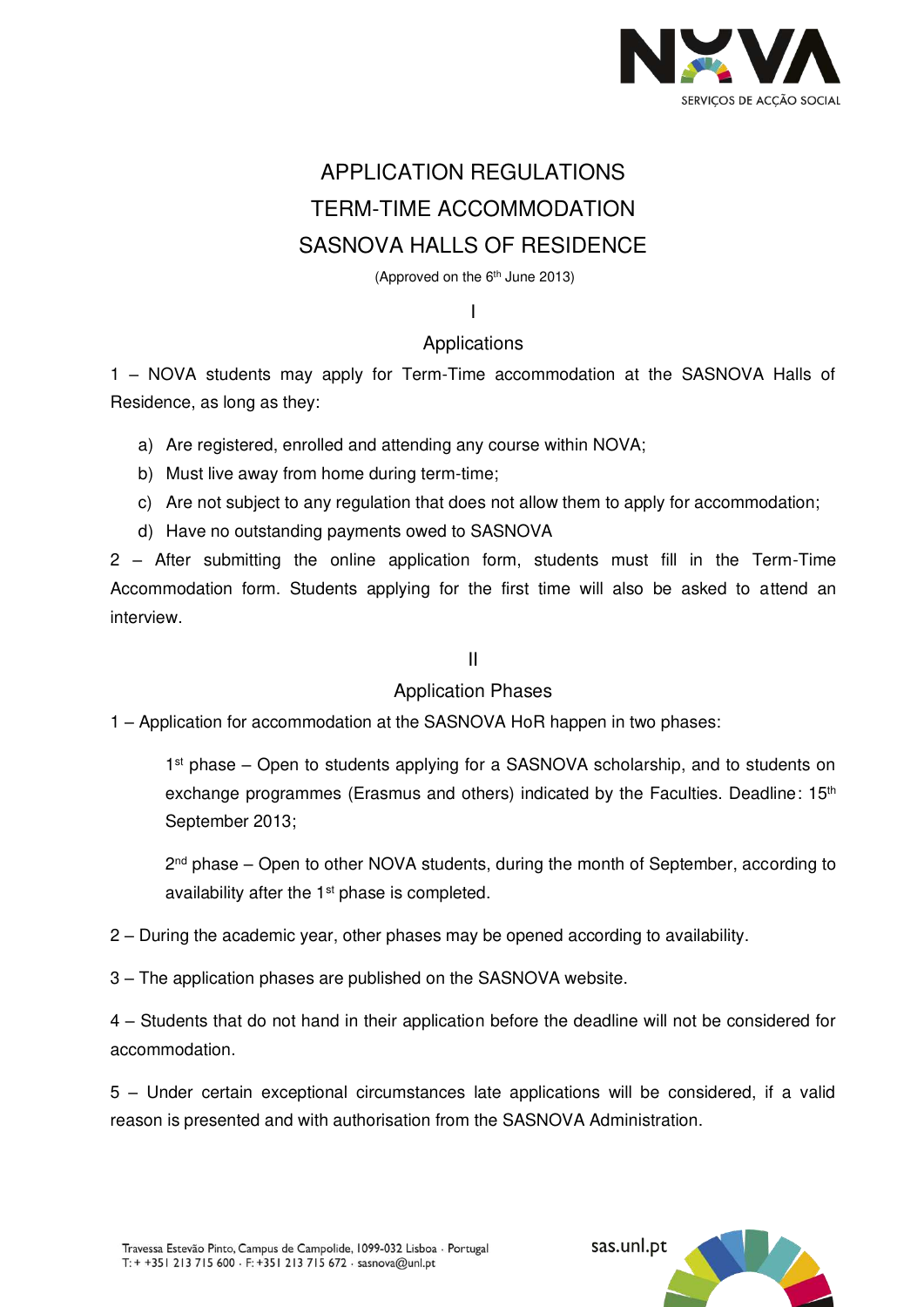

# APPLICATION REGULATIONS TERM-TIME ACCOMMODATION SASNOVA HALLS OF RESIDENCE

(Approved on the  $6<sup>th</sup>$  June 2013)

I

## Applications

1 – NOVA students may apply for Term-Time accommodation at the SASNOVA Halls of Residence, as long as they:

a) Are registered, enrolled and attending any course within NOVA;

- b) Must live away from home during term-time;
- c) Are not subject to any regulation that does not allow them to apply for accommodation;
- d) Have no outstanding payments owed to SASNOVA

2 – After submitting the online application form, students must fill in the Term-Time Accommodation form. Students applying for the first time will also be asked to attend an interview.

### II

## Application Phases

1 – Application for accommodation at the SASNOVA HoR happen in two phases:

1<sup>st</sup> phase – Open to students applying for a SASNOVA scholarship, and to students on exchange programmes (Erasmus and others) indicated by the Faculties. Deadline: 15<sup>th</sup> September 2013;

2<sup>nd</sup> phase – Open to other NOVA students, during the month of September, according to availability after the 1<sup>st</sup> phase is completed.

2 – During the academic year, other phases may be opened according to availability.

3 – The application phases are published on the SASNOVA website.

4 – Students that do not hand in their application before the deadline will not be considered for accommodation.

5 – Under certain exceptional circumstances late applications will be considered, if a valid reason is presented and with authorisation from the SASNOVA Administration.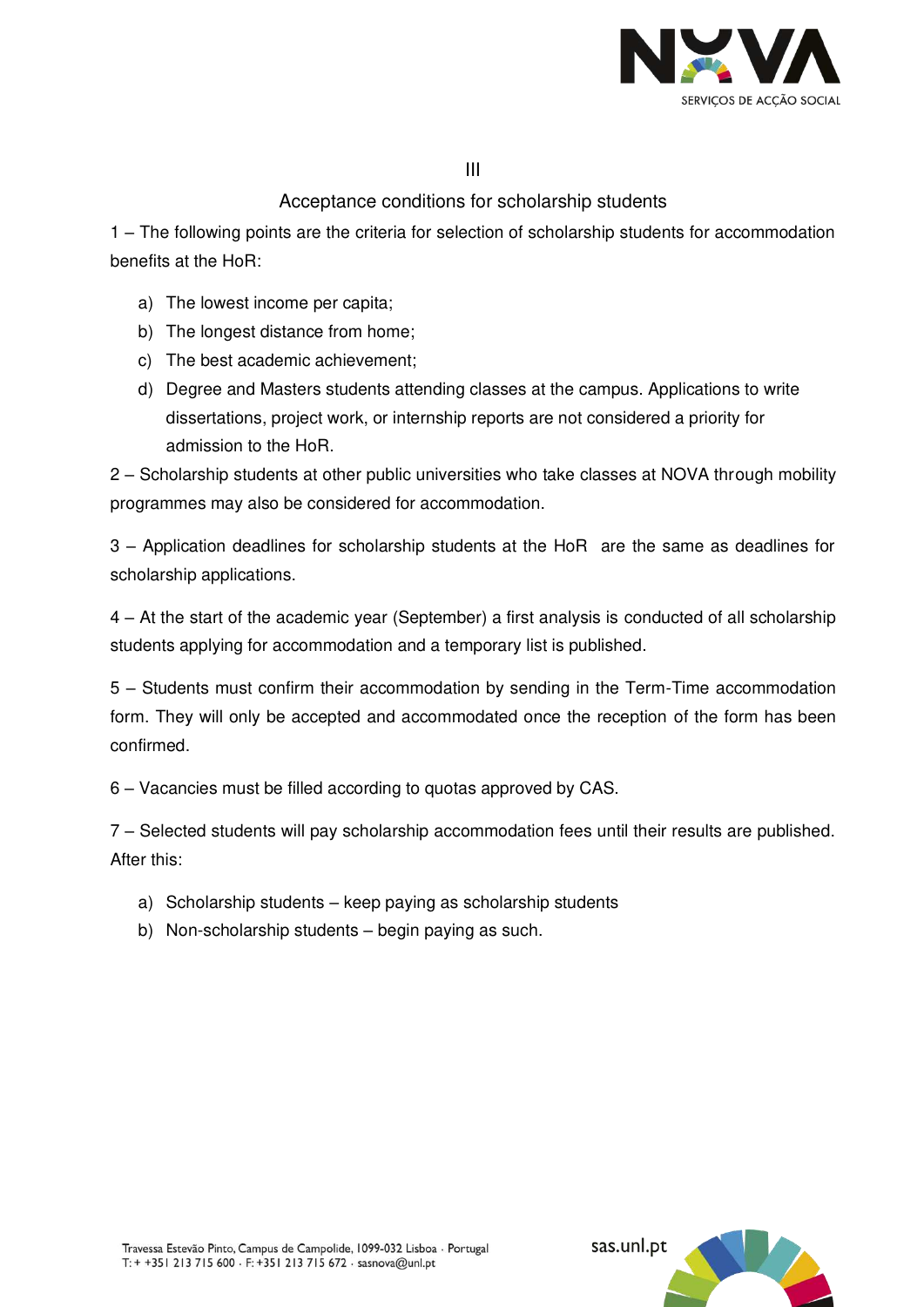

III

## Acceptance conditions for scholarship students

1 – The following points are the criteria for selection of scholarship students for accommodation benefits at the HoR:

- a) The lowest income per capita;
- b) The longest distance from home;
- c) The best academic achievement;
- d) Degree and Masters students attending classes at the campus. Applications to write dissertations, project work, or internship reports are not considered a priority for admission to the HoR.

2 – Scholarship students at other public universities who take classes at NOVA through mobility programmes may also be considered for accommodation.

3 – Application deadlines for scholarship students at the HoR are the same as deadlines for scholarship applications.

4 – At the start of the academic year (September) a first analysis is conducted of all scholarship students applying for accommodation and a temporary list is published.

5 – Students must confirm their accommodation by sending in the Term-Time accommodation form. They will only be accepted and accommodated once the reception of the form has been confirmed.

6 – Vacancies must be filled according to quotas approved by CAS.

7 – Selected students will pay scholarship accommodation fees until their results are published. After this:

- a) Scholarship students keep paying as scholarship students
- b) Non-scholarship students begin paying as such.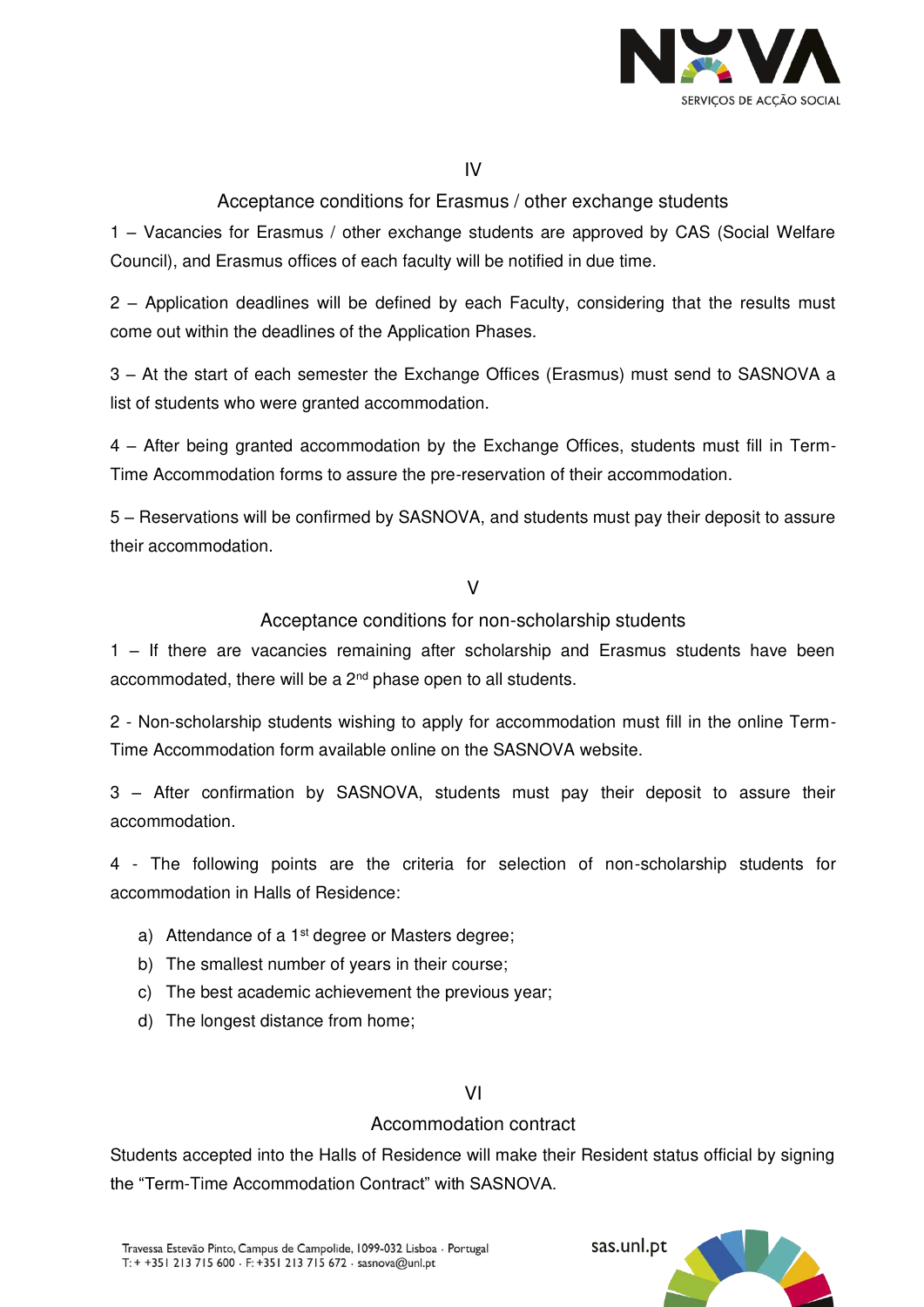

IV

Acceptance conditions for Erasmus / other exchange students

1 – Vacancies for Erasmus / other exchange students are approved by CAS (Social Welfare Council), and Erasmus offices of each faculty will be notified in due time.

2 – Application deadlines will be defined by each Faculty, considering that the results must come out within the deadlines of the Application Phases.

3 – At the start of each semester the Exchange Offices (Erasmus) must send to SASNOVA a list of students who were granted accommodation.

4 – After being granted accommodation by the Exchange Offices, students must fill in Term-Time Accommodation forms to assure the pre-reservation of their accommodation.

5 – Reservations will be confirmed by SASNOVA, and students must pay their deposit to assure their accommodation.

V

Acceptance conditions for non-scholarship students

1 – If there are vacancies remaining after scholarship and Erasmus students have been accommodated, there will be a 2<sup>nd</sup> phase open to all students.

2 - Non-scholarship students wishing to apply for accommodation must fill in the online Term-Time Accommodation form available online on the SASNOVA website.

3 – After confirmation by SASNOVA, students must pay their deposit to assure their accommodation.

4 - The following points are the criteria for selection of non-scholarship students for accommodation in Halls of Residence:

- a) Attendance of a 1<sup>st</sup> degree or Masters degree;
- b) The smallest number of years in their course;
- c) The best academic achievement the previous year;
- d) The longest distance from home;

### VI

## Accommodation contract

Students accepted into the Halls of Residence will make their Resident status official by signing the "Term-Time Accommodation Contract" with SASNOVA.